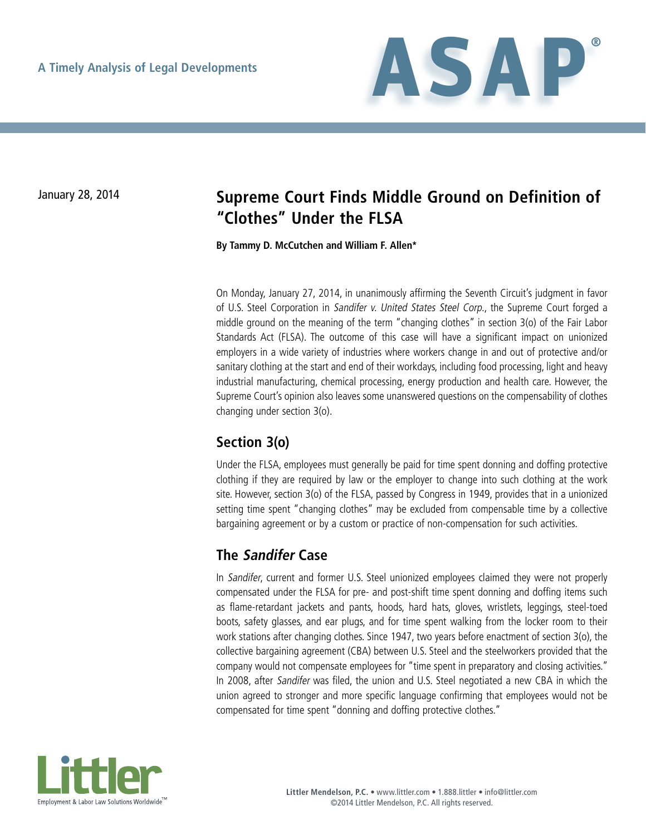

# January 28, 2014 **Supreme Court Finds Middle Ground on Definition of "Clothes" Under the FLSA**

**By Tammy D. McCutchen and William F. Allen\***

On Monday, January 27, 2014, in unanimously affirming the Seventh Circuit's judgment in favor of U.S. Steel Corporation in Sandifer v. United States Steel Corp., the Supreme Court forged a middle ground on the meaning of the term "changing clothes" in section 3(o) of the Fair Labor Standards Act (FLSA). The outcome of this case will have a significant impact on unionized employers in a wide variety of industries where workers change in and out of protective and/or sanitary clothing at the start and end of their workdays, including food processing, light and heavy industrial manufacturing, chemical processing, energy production and health care. However, the Supreme Court's opinion also leaves some unanswered questions on the compensability of clothes changing under section 3(o).

## **Section 3(o)**

Under the FLSA, employees must generally be paid for time spent donning and doffing protective clothing if they are required by law or the employer to change into such clothing at the work site. However, section 3(o) of the FLSA, passed by Congress in 1949, provides that in a unionized setting time spent "changing clothes" may be excluded from compensable time by a collective bargaining agreement or by a custom or practice of non-compensation for such activities.

## **The Sandifer Case**

In Sandifer, current and former U.S. Steel unionized employees claimed they were not properly compensated under the FLSA for pre- and post-shift time spent donning and doffing items such as flame-retardant jackets and pants, hoods, hard hats, gloves, wristlets, leggings, steel-toed boots, safety glasses, and ear plugs, and for time spent walking from the locker room to their work stations after changing clothes. Since 1947, two years before enactment of section 3(o), the collective bargaining agreement (CBA) between U.S. Steel and the steelworkers provided that the company would not compensate employees for "time spent in preparatory and closing activities." In 2008, after Sandifer was filed, the union and U.S. Steel negotiated a new CBA in which the union agreed to stronger and more specific language confirming that employees would not be compensated for time spent "donning and doffing protective clothes."

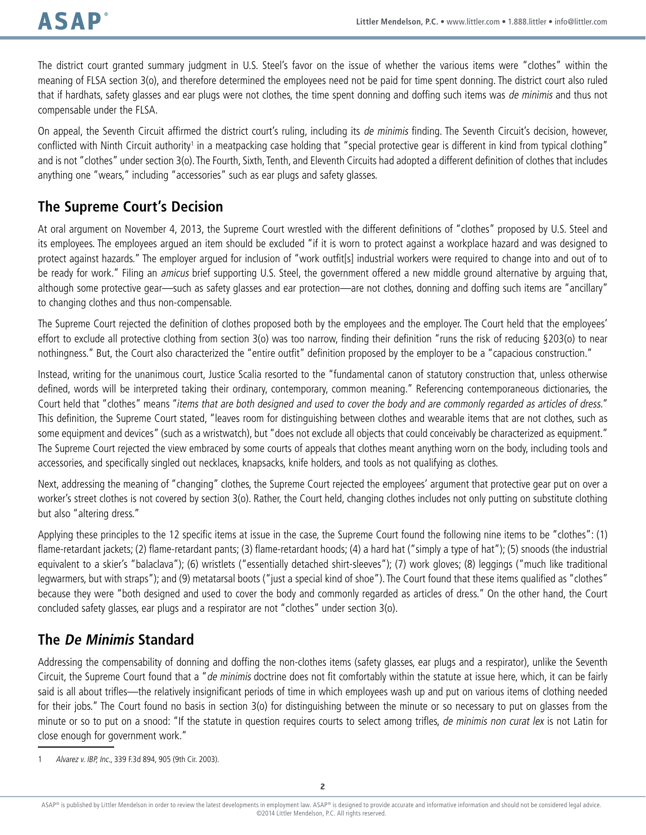The district court granted summary judgment in U.S. Steel's favor on the issue of whether the various items were "clothes" within the meaning of FLSA section 3(o), and therefore determined the employees need not be paid for time spent donning. The district court also ruled that if hardhats, safety glasses and ear plugs were not clothes, the time spent donning and doffing such items was de minimis and thus not compensable under the FLSA.

On appeal, the Seventh Circuit affirmed the district court's ruling, including its de minimis finding. The Seventh Circuit's decision, however, conflicted with Ninth Circuit authority' in a meatpacking case holding that "special protective gear is different in kind from typical clothing" and is not "clothes" under section 3(o). The Fourth, Sixth, Tenth, and Eleventh Circuits had adopted a different definition of clothes that includes anything one "wears," including "accessories" such as ear plugs and safety glasses.

## **The Supreme Court's Decision**

At oral argument on November 4, 2013, the Supreme Court wrestled with the different definitions of "clothes" proposed by U.S. Steel and its employees. The employees argued an item should be excluded "if it is worn to protect against a workplace hazard and was designed to protect against hazards." The employer argued for inclusion of "work outfit[s] industrial workers were required to change into and out of to be ready for work." Filing an *amicus* brief supporting U.S. Steel, the government offered a new middle ground alternative by arguing that, although some protective gear—such as safety glasses and ear protection—are not clothes, donning and doffing such items are "ancillary" to changing clothes and thus non-compensable.

The Supreme Court rejected the definition of clothes proposed both by the employees and the employer. The Court held that the employees' effort to exclude all protective clothing from section 3(o) was too narrow, finding their definition "runs the risk of reducing §203(o) to near nothingness." But, the Court also characterized the "entire outfit" definition proposed by the employer to be a "capacious construction."

Instead, writing for the unanimous court, Justice Scalia resorted to the "fundamental canon of statutory construction that, unless otherwise defined, words will be interpreted taking their ordinary, contemporary, common meaning." Referencing contemporaneous dictionaries, the Court held that "clothes" means "items that are both designed and used to cover the body and are commonly regarded as articles of dress." This definition, the Supreme Court stated, "leaves room for distinguishing between clothes and wearable items that are not clothes, such as some equipment and devices" (such as a wristwatch), but "does not exclude all objects that could conceivably be characterized as equipment." The Supreme Court rejected the view embraced by some courts of appeals that clothes meant anything worn on the body, including tools and accessories, and specifically singled out necklaces, knapsacks, knife holders, and tools as not qualifying as clothes.

Next, addressing the meaning of "changing" clothes, the Supreme Court rejected the employees' argument that protective gear put on over a worker's street clothes is not covered by section 3(o). Rather, the Court held, changing clothes includes not only putting on substitute clothing but also "altering dress."

Applying these principles to the 12 specific items at issue in the case, the Supreme Court found the following nine items to be "clothes": (1) flame-retardant jackets; (2) flame-retardant pants; (3) flame-retardant hoods; (4) a hard hat ("simply a type of hat"); (5) snoods (the industrial equivalent to a skier's "balaclava"); (6) wristlets ("essentially detached shirt-sleeves"); (7) work gloves; (8) leggings ("much like traditional legwarmers, but with straps"); and (9) metatarsal boots ("just a special kind of shoe"). The Court found that these items qualified as "clothes" because they were "both designed and used to cover the body and commonly regarded as articles of dress." On the other hand, the Court concluded safety glasses, ear plugs and a respirator are not "clothes" under section 3(o).

## **The De Minimis Standard**

Addressing the compensability of donning and doffing the non-clothes items (safety glasses, ear plugs and a respirator), unlike the Seventh Circuit, the Supreme Court found that a "de minimis doctrine does not fit comfortably within the statute at issue here, which, it can be fairly said is all about trifles—the relatively insignificant periods of time in which employees wash up and put on various items of clothing needed for their jobs." The Court found no basis in section 3(o) for distinguishing between the minute or so necessary to put on glasses from the minute or so to put on a snood: "If the statute in question requires courts to select among trifles, de minimis non curat lex is not Latin for close enough for government work."

1 Alvarez v. IBP, Inc., 339 F.3d 894, 905 (9th Cir. 2003).